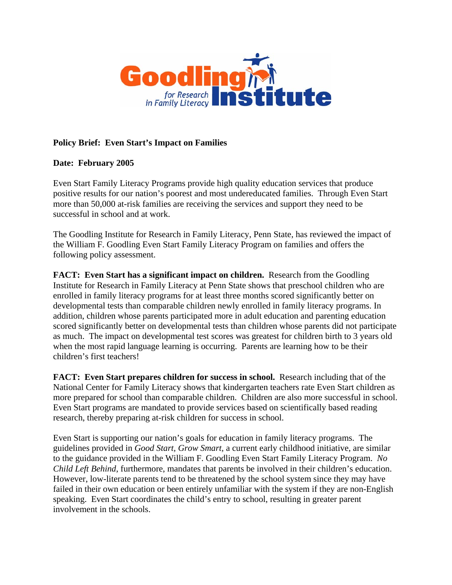

## **Policy Brief: Even Start's Impact on Families**

## **Date: February 2005**

Even Start Family Literacy Programs provide high quality education services that produce positive results for our nation's poorest and most undereducated families. Through Even Start more than 50,000 at-risk families are receiving the services and support they need to be successful in school and at work.

The Goodling Institute for Research in Family Literacy, Penn State, has reviewed the impact of the William F. Goodling Even Start Family Literacy Program on families and offers the following policy assessment.

**FACT: Even Start has a significant impact on children.** Research from the Goodling Institute for Research in Family Literacy at Penn State shows that preschool children who are enrolled in family literacy programs for at least three months scored significantly better on developmental tests than comparable children newly enrolled in family literacy programs. In addition, children whose parents participated more in adult education and parenting education scored significantly better on developmental tests than children whose parents did not participate as much. The impact on developmental test scores was greatest for children birth to 3 years old when the most rapid language learning is occurring. Parents are learning how to be their children's first teachers!

**FACT: Even Start prepares children for success in school.** Research including that of the National Center for Family Literacy shows that kindergarten teachers rate Even Start children as more prepared for school than comparable children. Children are also more successful in school. Even Start programs are mandated to provide services based on scientifically based reading research, thereby preparing at-risk children for success in school.

Even Start is supporting our nation's goals for education in family literacy programs. The guidelines provided in *Good Start, Grow Smart,* a current early childhood initiative, are similar to the guidance provided in the William F. Goodling Even Start Family Literacy Program. *No Child Left Behind*, furthermore, mandates that parents be involved in their children's education. However, low-literate parents tend to be threatened by the school system since they may have failed in their own education or been entirely unfamiliar with the system if they are non-English speaking. Even Start coordinates the child's entry to school, resulting in greater parent involvement in the schools.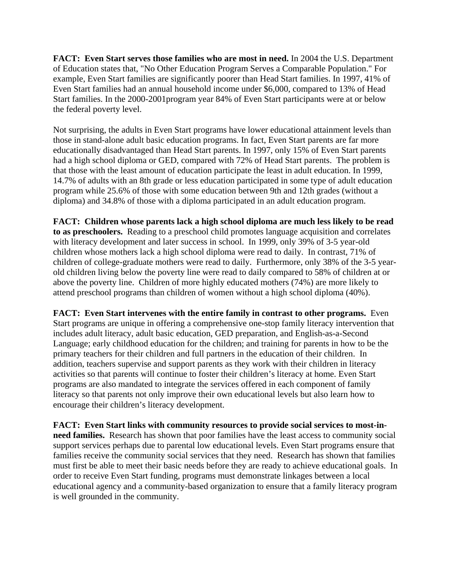**FACT: Even Start serves those families who are most in need.** In 2004 the U.S. Department of Education states that, "No Other Education Program Serves a Comparable Population." For example, Even Start families are significantly poorer than Head Start families. In 1997, 41% of Even Start families had an annual household income under \$6,000, compared to 13% of Head Start families. In the 2000-2001program year 84% of Even Start participants were at or below the federal poverty level.

Not surprising, the adults in Even Start programs have lower educational attainment levels than those in stand-alone adult basic education programs. In fact, Even Start parents are far more educationally disadvantaged than Head Start parents. In 1997, only 15% of Even Start parents had a high school diploma or GED, compared with 72% of Head Start parents. The problem is that those with the least amount of education participate the least in adult education. In 1999, 14.7% of adults with an 8th grade or less education participated in some type of adult education program while 25.6% of those with some education between 9th and 12th grades (without a diploma) and 34.8% of those with a diploma participated in an adult education program.

**FACT: Children whose parents lack a high school diploma are much less likely to be read to as preschoolers.** Reading to a preschool child promotes language acquisition and correlates with literacy development and later success in school. In 1999, only 39% of 3-5 year-old children whose mothers lack a high school diploma were read to daily. In contrast, 71% of children of college-graduate mothers were read to daily. Furthermore, only 38% of the 3-5 yearold children living below the poverty line were read to daily compared to 58% of children at or above the poverty line. Children of more highly educated mothers (74%) are more likely to attend preschool programs than children of women without a high school diploma (40%).

**FACT: Even Start intervenes with the entire family in contrast to other programs.** Even Start programs are unique in offering a comprehensive one-stop family literacy intervention that includes adult literacy, adult basic education, GED preparation, and English-as-a-Second Language; early childhood education for the children; and training for parents in how to be the primary teachers for their children and full partners in the education of their children. In addition, teachers supervise and support parents as they work with their children in literacy activities so that parents will continue to foster their children's literacy at home. Even Start programs are also mandated to integrate the services offered in each component of family literacy so that parents not only improve their own educational levels but also learn how to encourage their children's literacy development.

**FACT: Even Start links with community resources to provide social services to most-inneed families.** Research has shown that poor families have the least access to community social support services perhaps due to parental low educational levels. Even Start programs ensure that families receive the community social services that they need. Research has shown that families must first be able to meet their basic needs before they are ready to achieve educational goals. In order to receive Even Start funding, programs must demonstrate linkages between a local educational agency and a community-based organization to ensure that a family literacy program is well grounded in the community.